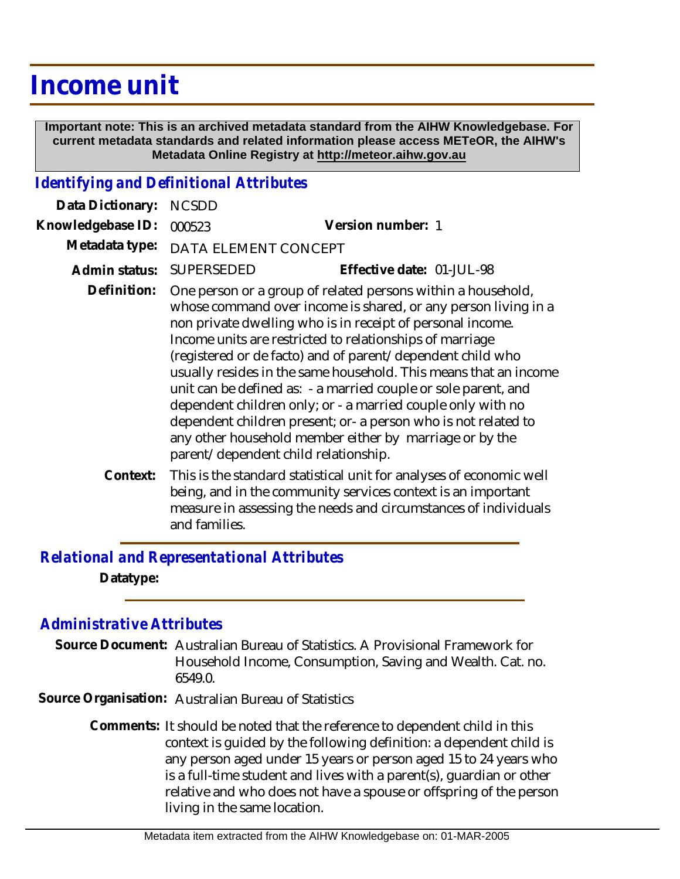## **Income unit**

 **Important note: This is an archived metadata standard from the AIHW Knowledgebase. For current metadata standards and related information please access METeOR, the AIHW's Metadata Online Registry at http://meteor.aihw.gov.au**

## *Identifying and Definitional Attributes*

| Data Dictionary:  | <b>NCSDD</b>                                                                                                                                                                                                                                                                                                                                                                                                                                                                                                                                                                                                                                                                                     |                                                                                                                                    |
|-------------------|--------------------------------------------------------------------------------------------------------------------------------------------------------------------------------------------------------------------------------------------------------------------------------------------------------------------------------------------------------------------------------------------------------------------------------------------------------------------------------------------------------------------------------------------------------------------------------------------------------------------------------------------------------------------------------------------------|------------------------------------------------------------------------------------------------------------------------------------|
| Knowledgebase ID: | 000523                                                                                                                                                                                                                                                                                                                                                                                                                                                                                                                                                                                                                                                                                           | Version number: 1                                                                                                                  |
| Metadata type:    | DATA ELEMENT CONCEPT                                                                                                                                                                                                                                                                                                                                                                                                                                                                                                                                                                                                                                                                             |                                                                                                                                    |
| Admin status:     | <b>SUPERSEDED</b>                                                                                                                                                                                                                                                                                                                                                                                                                                                                                                                                                                                                                                                                                | Effective date: 01-JUL-98                                                                                                          |
| Definition:       | One person or a group of related persons within a household,<br>whose command over income is shared, or any person living in a<br>non private dwelling who is in receipt of personal income.<br>Income units are restricted to relationships of marriage<br>(registered or de facto) and of parent/dependent child who<br>usually resides in the same household. This means that an income<br>unit can be defined as: - a married couple or sole parent, and<br>dependent children only; or - a married couple only with no<br>dependent children present; or- a person who is not related to<br>any other household member either by marriage or by the<br>parent/dependent child relationship. |                                                                                                                                    |
| Context:          |                                                                                                                                                                                                                                                                                                                                                                                                                                                                                                                                                                                                                                                                                                  | This is the standard statistical unit for analyses of economic well<br>heing and in the community services context is an important |

being, and in the community services context is an important measure in assessing the needs and circumstances of individuals and families.

*Relational and Representational Attributes* **Datatype:**

## *Administrative Attributes*

Source Document: Australian Bureau of Statistics. A Provisional Framework for Household Income, Consumption, Saving and Wealth. Cat. no. 6549.0.

**Source Organisation:** Australian Bureau of Statistics

Comments: It should be noted that the reference to dependent child in this context is guided by the following definition: a dependent child is any person aged under 15 years or person aged 15 to 24 years who is a full-time student and lives with a parent(s), guardian or other relative and who does not have a spouse or offspring of the person living in the same location.